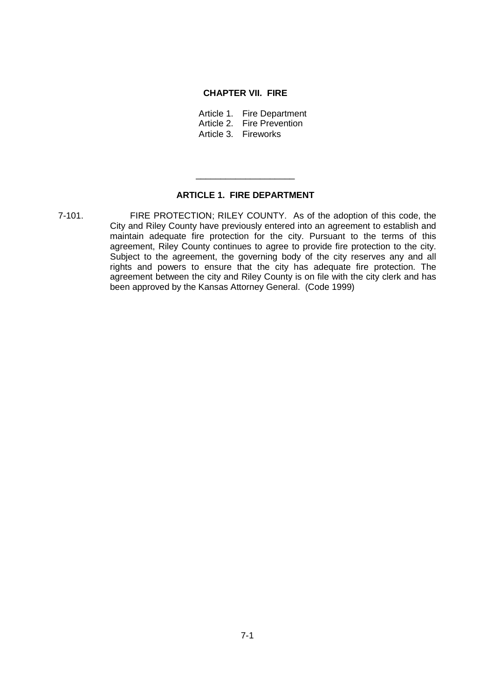## **CHAPTER VII. FIRE**

Article 1. Fire Department Article 2. Fire Prevention Article 3. Fireworks

## **ARTICLE 1. FIRE DEPARTMENT**

\_\_\_\_\_\_\_\_\_\_\_\_\_\_\_\_\_\_\_\_

7-101. FIRE PROTECTION; RILEY COUNTY. As of the adoption of this code, the City and Riley County have previously entered into an agreement to establish and maintain adequate fire protection for the city. Pursuant to the terms of this agreement, Riley County continues to agree to provide fire protection to the city. Subject to the agreement, the governing body of the city reserves any and all rights and powers to ensure that the city has adequate fire protection. The agreement between the city and Riley County is on file with the city clerk and has been approved by the Kansas Attorney General. (Code 1999)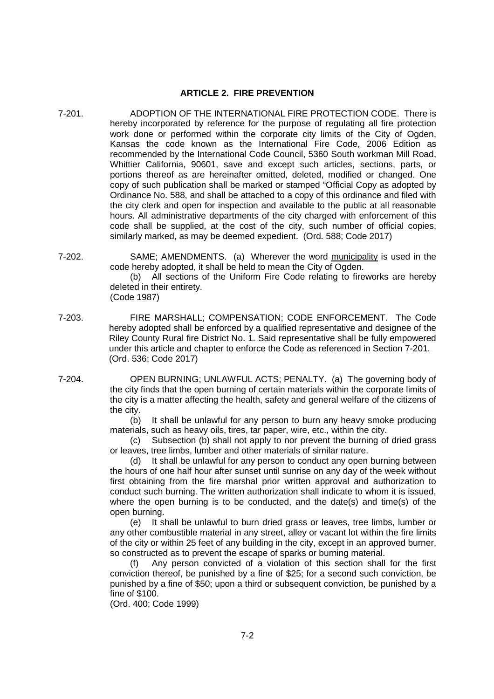## **ARTICLE 2. FIRE PREVENTION**

- 7-201. ADOPTION OF THE INTERNATIONAL FIRE PROTECTION CODE. There is hereby incorporated by reference for the purpose of regulating all fire protection work done or performed within the corporate city limits of the City of Ogden, Kansas the code known as the International Fire Code, 2006 Edition as recommended by the International Code Council, 5360 South workman Mill Road, Whittier California, 90601, save and except such articles, sections, parts, or portions thereof as are hereinafter omitted, deleted, modified or changed. One copy of such publication shall be marked or stamped "Official Copy as adopted by Ordinance No. 588, and shall be attached to a copy of this ordinance and filed with the city clerk and open for inspection and available to the public at all reasonable hours. All administrative departments of the city charged with enforcement of this code shall be supplied, at the cost of the city, such number of official copies, similarly marked, as may be deemed expedient. (Ord. 588; Code 2017)
- 7-202. SAME; AMENDMENTS. (a) Wherever the word municipality is used in the code hereby adopted, it shall be held to mean the City of Ogden.

(b) All sections of the Uniform Fire Code relating to fireworks are hereby deleted in their entirety.

- (Code 1987)
- 7-203. FIRE MARSHALL; COMPENSATION; CODE ENFORCEMENT. The Code hereby adopted shall be enforced by a qualified representative and designee of the Riley County Rural fire District No. 1. Said representative shall be fully empowered under this article and chapter to enforce the Code as referenced in Section 7-201. (Ord. 536; Code 2017)
- 7-204. OPEN BURNING; UNLAWFUL ACTS; PENALTY. (a) The governing body of the city finds that the open burning of certain materials within the corporate limits of the city is a matter affecting the health, safety and general welfare of the citizens of the city.

(b) It shall be unlawful for any person to burn any heavy smoke producing materials, such as heavy oils, tires, tar paper, wire, etc., within the city.

(c) Subsection (b) shall not apply to nor prevent the burning of dried grass or leaves, tree limbs, lumber and other materials of similar nature.

(d) It shall be unlawful for any person to conduct any open burning between the hours of one half hour after sunset until sunrise on any day of the week without first obtaining from the fire marshal prior written approval and authorization to conduct such burning. The written authorization shall indicate to whom it is issued, where the open burning is to be conducted, and the date(s) and time(s) of the open burning.

(e) It shall be unlawful to burn dried grass or leaves, tree limbs, lumber or any other combustible material in any street, alley or vacant lot within the fire limits of the city or within 25 feet of any building in the city, except in an approved burner, so constructed as to prevent the escape of sparks or burning material.

(f) Any person convicted of a violation of this section shall for the first conviction thereof, be punished by a fine of \$25; for a second such conviction, be punished by a fine of \$50; upon a third or subsequent conviction, be punished by a fine of \$100.

(Ord. 400; Code 1999)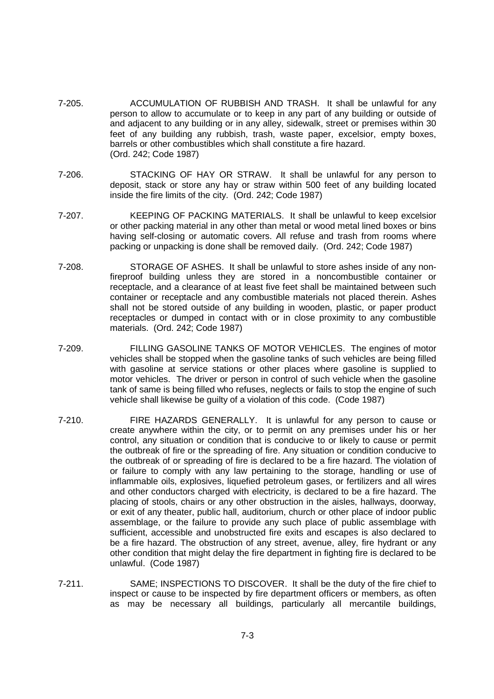- 7-205. ACCUMULATION OF RUBBISH AND TRASH. It shall be unlawful for any person to allow to accumulate or to keep in any part of any building or outside of and adjacent to any building or in any alley, sidewalk, street or premises within 30 feet of any building any rubbish, trash, waste paper, excelsior, empty boxes, barrels or other combustibles which shall constitute a fire hazard. (Ord. 242; Code 1987)
- 7-206. STACKING OF HAY OR STRAW. It shall be unlawful for any person to deposit, stack or store any hay or straw within 500 feet of any building located inside the fire limits of the city. (Ord. 242; Code 1987)
- 7-207. KEEPING OF PACKING MATERIALS. It shall be unlawful to keep excelsior or other packing material in any other than metal or wood metal lined boxes or bins having self-closing or automatic covers. All refuse and trash from rooms where packing or unpacking is done shall be removed daily. (Ord. 242; Code 1987)
- 7-208. STORAGE OF ASHES. It shall be unlawful to store ashes inside of any nonfireproof building unless they are stored in a noncombustible container or receptacle, and a clearance of at least five feet shall be maintained between such container or receptacle and any combustible materials not placed therein. Ashes shall not be stored outside of any building in wooden, plastic, or paper product receptacles or dumped in contact with or in close proximity to any combustible materials. (Ord. 242; Code 1987)
- 7-209. FILLING GASOLINE TANKS OF MOTOR VEHICLES. The engines of motor vehicles shall be stopped when the gasoline tanks of such vehicles are being filled with gasoline at service stations or other places where gasoline is supplied to motor vehicles. The driver or person in control of such vehicle when the gasoline tank of same is being filled who refuses, neglects or fails to stop the engine of such vehicle shall likewise be guilty of a violation of this code. (Code 1987)
- 7-210. FIRE HAZARDS GENERALLY. It is unlawful for any person to cause or create anywhere within the city, or to permit on any premises under his or her control, any situation or condition that is conducive to or likely to cause or permit the outbreak of fire or the spreading of fire. Any situation or condition conducive to the outbreak of or spreading of fire is declared to be a fire hazard. The violation of or failure to comply with any law pertaining to the storage, handling or use of inflammable oils, explosives, liquefied petroleum gases, or fertilizers and all wires and other conductors charged with electricity, is declared to be a fire hazard. The placing of stools, chairs or any other obstruction in the aisles, hallways, doorway, or exit of any theater, public hall, auditorium, church or other place of indoor public assemblage, or the failure to provide any such place of public assemblage with sufficient, accessible and unobstructed fire exits and escapes is also declared to be a fire hazard. The obstruction of any street, avenue, alley, fire hydrant or any other condition that might delay the fire department in fighting fire is declared to be unlawful. (Code 1987)
- 7-211. SAME; INSPECTIONS TO DISCOVER. It shall be the duty of the fire chief to inspect or cause to be inspected by fire department officers or members, as often as may be necessary all buildings, particularly all mercantile buildings,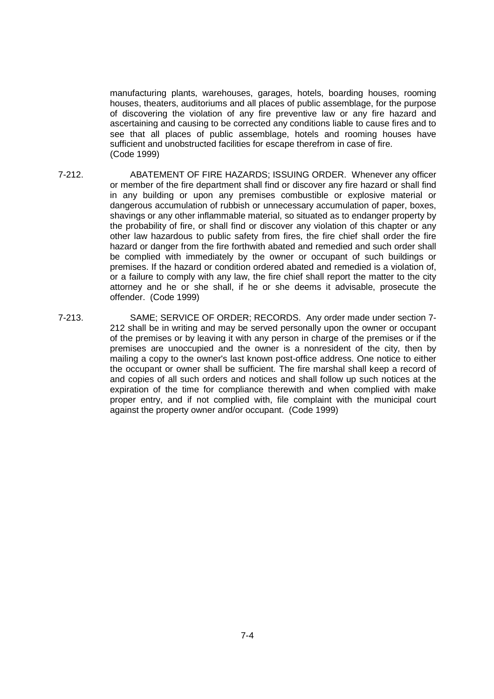manufacturing plants, warehouses, garages, hotels, boarding houses, rooming houses, theaters, auditoriums and all places of public assemblage, for the purpose of discovering the violation of any fire preventive law or any fire hazard and ascertaining and causing to be corrected any conditions liable to cause fires and to see that all places of public assemblage, hotels and rooming houses have sufficient and unobstructed facilities for escape therefrom in case of fire. (Code 1999)

- 7-212. ABATEMENT OF FIRE HAZARDS; ISSUING ORDER. Whenever any officer or member of the fire department shall find or discover any fire hazard or shall find in any building or upon any premises combustible or explosive material or dangerous accumulation of rubbish or unnecessary accumulation of paper, boxes, shavings or any other inflammable material, so situated as to endanger property by the probability of fire, or shall find or discover any violation of this chapter or any other law hazardous to public safety from fires, the fire chief shall order the fire hazard or danger from the fire forthwith abated and remedied and such order shall be complied with immediately by the owner or occupant of such buildings or premises. If the hazard or condition ordered abated and remedied is a violation of, or a failure to comply with any law, the fire chief shall report the matter to the city attorney and he or she shall, if he or she deems it advisable, prosecute the offender. (Code 1999)
- 7-213. SAME; SERVICE OF ORDER; RECORDS. Any order made under section 7- 212 shall be in writing and may be served personally upon the owner or occupant of the premises or by leaving it with any person in charge of the premises or if the premises are unoccupied and the owner is a nonresident of the city, then by mailing a copy to the owner's last known post-office address. One notice to either the occupant or owner shall be sufficient. The fire marshal shall keep a record of and copies of all such orders and notices and shall follow up such notices at the expiration of the time for compliance therewith and when complied with make proper entry, and if not complied with, file complaint with the municipal court against the property owner and/or occupant. (Code 1999)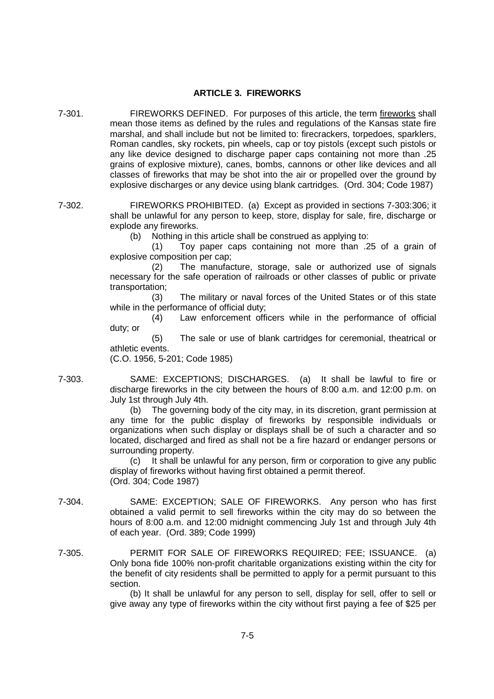## **ARTICLE 3. FIREWORKS**

- 7-301. FIREWORKS DEFINED. For purposes of this article, the term fireworks shall mean those items as defined by the rules and regulations of the Kansas state fire marshal, and shall include but not be limited to: firecrackers, torpedoes, sparklers, Roman candles, sky rockets, pin wheels, cap or toy pistols (except such pistols or any like device designed to discharge paper caps containing not more than .25 grains of explosive mixture), canes, bombs, cannons or other like devices and all classes of fireworks that may be shot into the air or propelled over the ground by explosive discharges or any device using blank cartridges. (Ord. 304; Code 1987)
- 7-302. FIREWORKS PROHIBITED. (a) Except as provided in sections 7-303:306; it shall be unlawful for any person to keep, store, display for sale, fire, discharge or explode any fireworks.
	- (b) Nothing in this article shall be construed as applying to:

(1) Toy paper caps containing not more than .25 of a grain of explosive composition per cap;

(2) The manufacture, storage, sale or authorized use of signals necessary for the safe operation of railroads or other classes of public or private transportation;

(3) The military or naval forces of the United States or of this state while in the performance of official duty;

(4) Law enforcement officers while in the performance of official duty; or

(5) The sale or use of blank cartridges for ceremonial, theatrical or athletic events.

(C.O. 1956, 5-201; Code 1985)

7-303. SAME: EXCEPTIONS; DISCHARGES. (a) It shall be lawful to fire or discharge fireworks in the city between the hours of 8:00 a.m. and 12:00 p.m. on July 1st through July 4th.

> (b) The governing body of the city may, in its discretion, grant permission at any time for the public display of fireworks by responsible individuals or organizations when such display or displays shall be of such a character and so located, discharged and fired as shall not be a fire hazard or endanger persons or surrounding property.

> (c) It shall be unlawful for any person, firm or corporation to give any public display of fireworks without having first obtained a permit thereof. (Ord. 304; Code 1987)

- 7-304. SAME: EXCEPTION; SALE OF FIREWORKS. Any person who has first obtained a valid permit to sell fireworks within the city may do so between the hours of 8:00 a.m. and 12:00 midnight commencing July 1st and through July 4th of each year. (Ord. 389; Code 1999)
- 7-305. PERMIT FOR SALE OF FIREWORKS REQUIRED; FEE; ISSUANCE. (a) Only bona fide 100% non-profit charitable organizations existing within the city for the benefit of city residents shall be permitted to apply for a permit pursuant to this section.

(b) It shall be unlawful for any person to sell, display for sell, offer to sell or give away any type of fireworks within the city without first paying a fee of \$25 per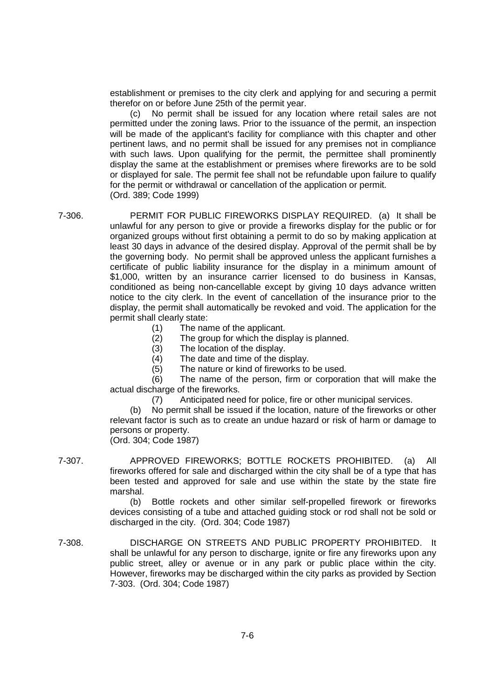establishment or premises to the city clerk and applying for and securing a permit therefor on or before June 25th of the permit year.

(c) No permit shall be issued for any location where retail sales are not permitted under the zoning laws. Prior to the issuance of the permit, an inspection will be made of the applicant's facility for compliance with this chapter and other pertinent laws, and no permit shall be issued for any premises not in compliance with such laws. Upon qualifying for the permit, the permittee shall prominently display the same at the establishment or premises where fireworks are to be sold or displayed for sale. The permit fee shall not be refundable upon failure to qualify for the permit or withdrawal or cancellation of the application or permit. (Ord. 389; Code 1999)

7-306. PERMIT FOR PUBLIC FIREWORKS DISPLAY REQUIRED. (a) It shall be unlawful for any person to give or provide a fireworks display for the public or for organized groups without first obtaining a permit to do so by making application at least 30 days in advance of the desired display. Approval of the permit shall be by the governing body. No permit shall be approved unless the applicant furnishes a certificate of public liability insurance for the display in a minimum amount of \$1,000, written by an insurance carrier licensed to do business in Kansas, conditioned as being non-cancellable except by giving 10 days advance written notice to the city clerk. In the event of cancellation of the insurance prior to the display, the permit shall automatically be revoked and void. The application for the permit shall clearly state:

(1) The name of the applicant.

(2) The group for which the display is planned.

(3) The location of the display.

(4) The date and time of the display.

(5) The nature or kind of fireworks to be used.

(6) The name of the person, firm or corporation that will make the actual discharge of the fireworks.

(7) Anticipated need for police, fire or other municipal services.

(b) No permit shall be issued if the location, nature of the fireworks or other relevant factor is such as to create an undue hazard or risk of harm or damage to persons or property.

(Ord. 304; Code 1987)

7-307. APPROVED FIREWORKS; BOTTLE ROCKETS PROHIBITED. (a) All fireworks offered for sale and discharged within the city shall be of a type that has been tested and approved for sale and use within the state by the state fire marshal.

> (b) Bottle rockets and other similar self-propelled firework or fireworks devices consisting of a tube and attached guiding stock or rod shall not be sold or discharged in the city. (Ord. 304; Code 1987)

7-308. DISCHARGE ON STREETS AND PUBLIC PROPERTY PROHIBITED. It shall be unlawful for any person to discharge, ignite or fire any fireworks upon any public street, alley or avenue or in any park or public place within the city. However, fireworks may be discharged within the city parks as provided by Section 7-303. (Ord. 304; Code 1987)